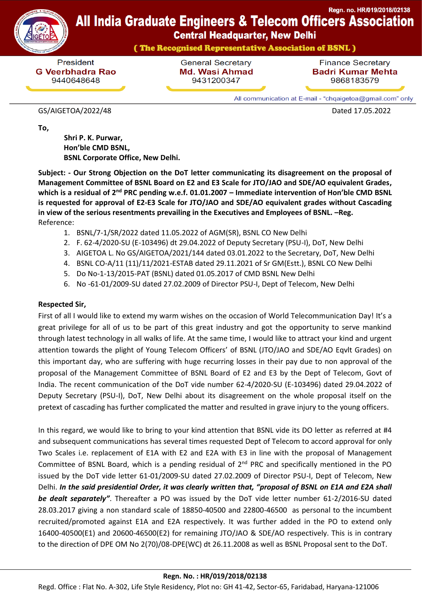

## Regn. no. HR/019/2018/02138 **All India Graduate Engineers & Telecom Officers Association**

**Central Headquarter, New Delhi** 

(The Recognised Representative Association of BSNL)

President **G Veerbhadra Rao** 9440648648

**General Secretary Md. Wasi Ahmad** 9431200347

**Finance Secretary Badri Kumar Mehta** 9868183579

All communication at E-mail - "chqaigetoa@gmail.com" only

## GS/AIGETOA/2022/48 Dated 17.05.2022

**To,**

 **Shri P. K. Purwar, Hon'ble CMD BSNL, BSNL Corporate Office, New Delhi.**

**Subject: - Our Strong Objection on the DoT letter communicating its disagreement on the proposal of Management Committee of BSNL Board on E2 and E3 Scale for JTO/JAO and SDE/AO equivalent Grades, which is a residual of 2nd PRC pending w.e.f. 01.01.2007 – Immediate intervention of Hon'ble CMD BSNL is requested for approval of E2-E3 Scale for JTO/JAO and SDE/AO equivalent grades without Cascading in view of the serious resentments prevailing in the Executives and Employees of BSNL. –Reg.** Reference:

- 1. BSNL/7-1/SR/2022 dated 11.05.2022 of AGM(SR), BSNL CO New Delhi
- 2. F. 62-4/2020-SU (E-103496) dt 29.04.2022 of Deputy Secretary (PSU-I), DoT, New Delhi
- 3. AIGETOA L. No GS/AIGETOA/2021/144 dated 03.01.2022 to the Secretary, DoT, New Delhi
- 4. BSNL CO-A/11 (11)/11/2021-ESTAB dated 29.11.2021 of Sr GM(Estt.), BSNL CO New Delhi
- 5. Do No-1-13/2015-PAT (BSNL) dated 01.05.2017 of CMD BSNL New Delhi
- 6. No -61-01/2009-SU dated 27.02.2009 of Director PSU-I, Dept of Telecom, New Delhi

## **Respected Sir,**

First of all I would like to extend my warm wishes on the occasion of World Telecommunication Day! It's a great privilege for all of us to be part of this great industry and got the opportunity to serve mankind through latest technology in all walks of life. At the same time, I would like to attract your kind and urgent attention towards the plight of Young Telecom Officers' of BSNL (JTO/JAO and SDE/AO Eqvlt Grades) on this important day, who are suffering with huge recurring losses in their pay due to non approval of the proposal of the Management Committee of BSNL Board of E2 and E3 by the Dept of Telecom, Govt of India. The recent communication of the DoT vide number 62-4/2020-SU (E-103496) dated 29.04.2022 of Deputy Secretary (PSU-I), DoT, New Delhi about its disagreement on the whole proposal itself on the pretext of cascading has further complicated the matter and resulted in grave injury to the young officers.

In this regard, we would like to bring to your kind attention that BSNL vide its DO letter as referred at #4 and subsequent communications has several times requested Dept of Telecom to accord approval for only Two Scales i.e. replacement of E1A with E2 and E2A with E3 in line with the proposal of Management Committee of BSNL Board, which is a pending residual of  $2<sup>nd</sup>$  PRC and specifically mentioned in the PO issued by the DoT vide letter 61-01/2009-SU dated 27.02.2009 of Director PSU-I, Dept of Telecom, New Delhi. *In the said presidential Order, it was clearly written that, "proposal of BSNL on E1A and E2A shall be dealt separately"*. Thereafter a PO was issued by the DoT vide letter number 61-2/2016-SU dated 28.03.2017 giving a non standard scale of 18850-40500 and 22800-46500 as personal to the incumbent recruited/promoted against E1A and E2A respectively. It was further added in the PO to extend only 16400-40500(E1) and 20600-46500(E2) for remaining JTO/JAO & SDE/AO respectively. This is in contrary to the direction of DPE OM No 2(70)/08-DPE(WC) dt 26.11.2008 as well as BSNL Proposal sent to the DoT.

## **Regn. No. : HR/019/2018/02138**